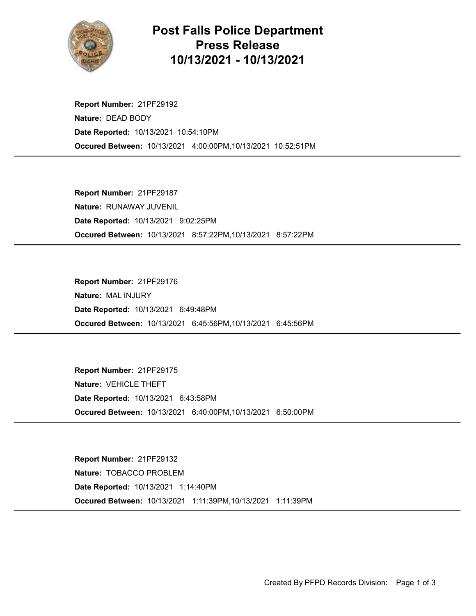

## Post Falls Police Department Press Release 10/13/2021 - 10/13/2021

Occured Between: 10/13/2021 4:00:00PM,10/13/2021 10:52:51PM Report Number: 21PF29192 Nature: DEAD BODY Date Reported: 10/13/2021 10:54:10PM

Occured Between: 10/13/2021 8:57:22PM,10/13/2021 8:57:22PM Report Number: 21PF29187 Nature: RUNAWAY JUVENIL Date Reported: 10/13/2021 9:02:25PM

Occured Between: 10/13/2021 6:45:56PM,10/13/2021 6:45:56PM Report Number: 21PF29176 Nature: MAL INJURY Date Reported: 10/13/2021 6:49:48PM

Occured Between: 10/13/2021 6:40:00PM,10/13/2021 6:50:00PM Report Number: 21PF29175 Nature: VEHICLE THEFT Date Reported: 10/13/2021 6:43:58PM

Occured Between: 10/13/2021 1:11:39PM,10/13/2021 1:11:39PM Report Number: 21PF29132 Nature: TOBACCO PROBLEM Date Reported: 10/13/2021 1:14:40PM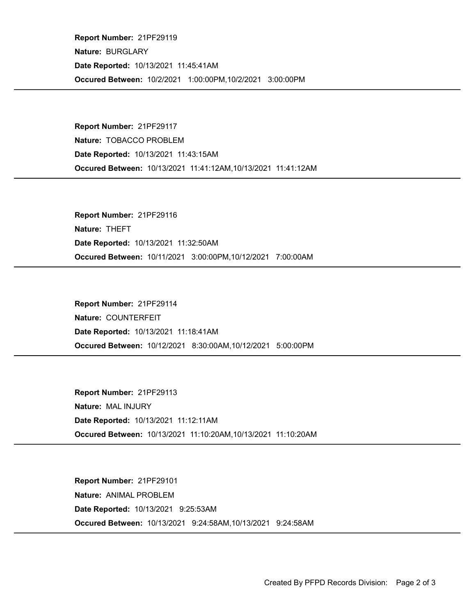Occured Between: 10/2/2021 1:00:00PM,10/2/2021 3:00:00PM Report Number: 21PF29119 Nature: BURGLARY Date Reported: 10/13/2021 11:45:41AM

Occured Between: 10/13/2021 11:41:12AM,10/13/2021 11:41:12AM Report Number: 21PF29117 Nature: TOBACCO PROBLEM Date Reported: 10/13/2021 11:43:15AM

Occured Between: 10/11/2021 3:00:00PM,10/12/2021 7:00:00AM Report Number: 21PF29116 Nature: THEFT Date Reported: 10/13/2021 11:32:50AM

Occured Between: 10/12/2021 8:30:00AM,10/12/2021 5:00:00PM Report Number: 21PF29114 Nature: COUNTERFEIT Date Reported: 10/13/2021 11:18:41AM

Occured Between: 10/13/2021 11:10:20AM,10/13/2021 11:10:20AM Report Number: 21PF29113 Nature: MAL INJURY Date Reported: 10/13/2021 11:12:11AM

Occured Between: 10/13/2021 9:24:58AM,10/13/2021 9:24:58AM Report Number: 21PF29101 Nature: ANIMAL PROBLEM Date Reported: 10/13/2021 9:25:53AM